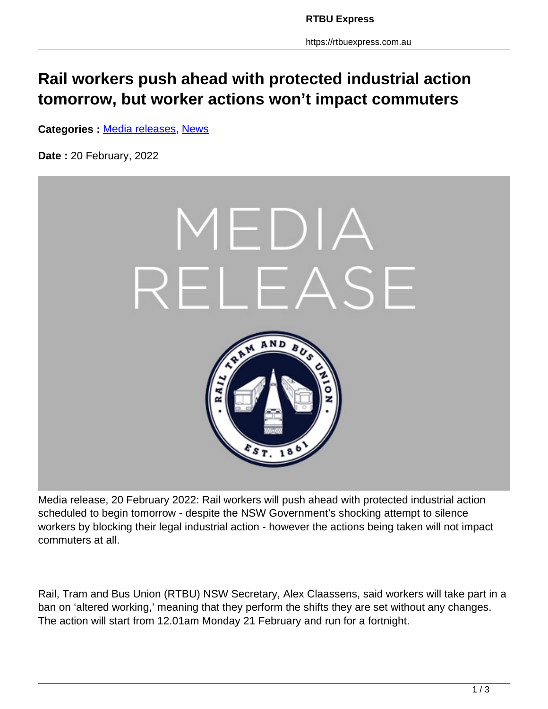## **Rail workers push ahead with protected industrial action tomorrow, but worker actions won't impact commuters**

**Categories :** [Media releases,](https://rtbuexpress.com.au/category/news/media-releases/) News

**Date :** 20 February, 2022



Media release, 20 February 2022: Rail workers will push ahead with protected industrial action scheduled to begin tomorrow - despite the NSW Government's shocking attempt to silence workers by blocking their legal industrial action - however the actions being taken will not impact commuters at all.

Rail, Tram and Bus Union (RTBU) NSW Secretary, Alex Claassens, said workers will take part in a ban on 'altered working,' meaning that they perform the shifts they are set without any changes. The action will start from 12.01am Monday 21 February and run for a fortnight.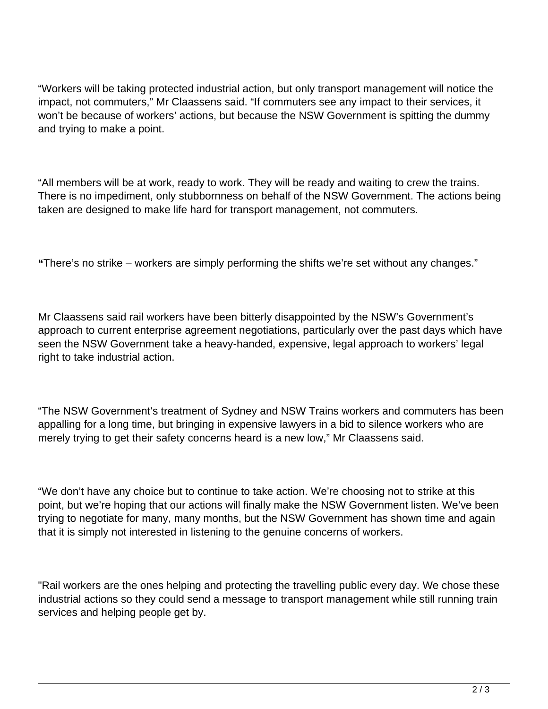"Workers will be taking protected industrial action, but only transport management will notice the impact, not commuters," Mr Claassens said. "If commuters see any impact to their services, it won't be because of workers' actions, but because the NSW Government is spitting the dummy and trying to make a point.

"All members will be at work, ready to work. They will be ready and waiting to crew the trains. There is no impediment, only stubbornness on behalf of the NSW Government. The actions being taken are designed to make life hard for transport management, not commuters.

**"**There's no strike – workers are simply performing the shifts we're set without any changes."

Mr Claassens said rail workers have been bitterly disappointed by the NSW's Government's approach to current enterprise agreement negotiations, particularly over the past days which have seen the NSW Government take a heavy-handed, expensive, legal approach to workers' legal right to take industrial action.

"The NSW Government's treatment of Sydney and NSW Trains workers and commuters has been appalling for a long time, but bringing in expensive lawyers in a bid to silence workers who are merely trying to get their safety concerns heard is a new low," Mr Claassens said.

"We don't have any choice but to continue to take action. We're choosing not to strike at this point, but we're hoping that our actions will finally make the NSW Government listen. We've been trying to negotiate for many, many months, but the NSW Government has shown time and again that it is simply not interested in listening to the genuine concerns of workers.

"Rail workers are the ones helping and protecting the travelling public every day. We chose these industrial actions so they could send a message to transport management while still running train services and helping people get by.